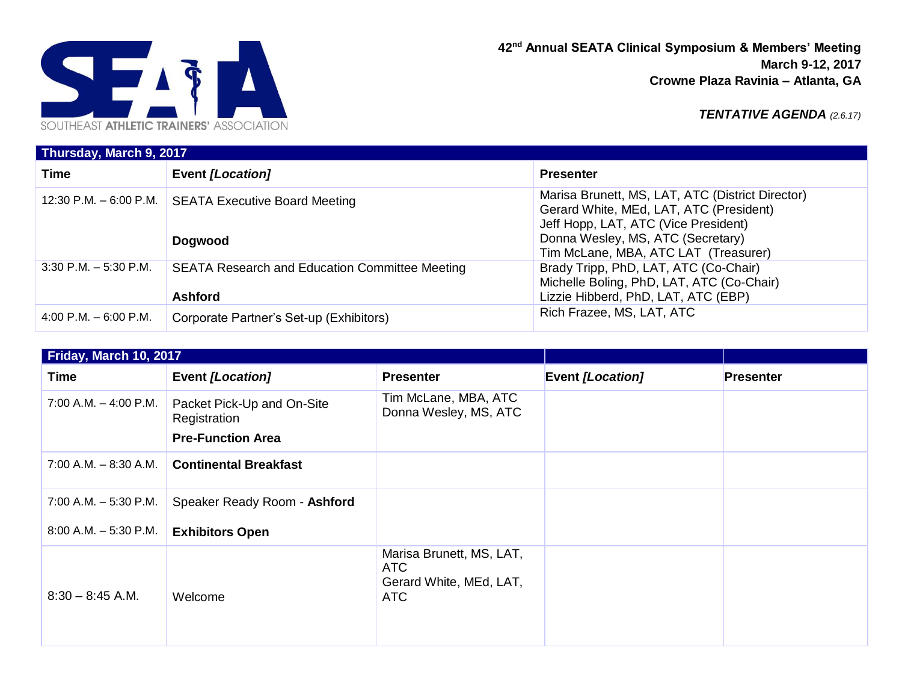

**42nd Annual SEATA Clinical Symposium & Members' Meeting March 9-12, 2017 Crowne Plaza Ravinia – Atlanta, GA**

*TENTATIVE AGENDA (2.6.17)*

| Thursday, March 9, 2017  |                                                                         |                                                                                                                                                                                                                  |  |  |
|--------------------------|-------------------------------------------------------------------------|------------------------------------------------------------------------------------------------------------------------------------------------------------------------------------------------------------------|--|--|
| <b>Time</b>              | Event [Location]                                                        | <b>Presenter</b>                                                                                                                                                                                                 |  |  |
|                          | 12:30 P.M. - 6:00 P.M.   SEATA Executive Board Meeting<br>Dogwood       | Marisa Brunett, MS, LAT, ATC (District Director)<br>Gerard White, MEd, LAT, ATC (President)<br>Jeff Hopp, LAT, ATC (Vice President)<br>Donna Wesley, MS, ATC (Secretary)<br>Tim McLane, MBA, ATC LAT (Treasurer) |  |  |
| $3:30$ P.M. $-5:30$ P.M. | <b>SEATA Research and Education Committee Meeting</b><br><b>Ashford</b> | Brady Tripp, PhD, LAT, ATC (Co-Chair)<br>Michelle Boling, PhD, LAT, ATC (Co-Chair)<br>Lizzie Hibberd, PhD, LAT, ATC (EBP)                                                                                        |  |  |
| 4:00 P.M. $-6:00$ P.M.   | Corporate Partner's Set-up (Exhibitors)                                 | Rich Frazee, MS, LAT, ATC                                                                                                                                                                                        |  |  |

| Friday, March 10, 2017    |                                                                        |                                                                   |                  |                  |
|---------------------------|------------------------------------------------------------------------|-------------------------------------------------------------------|------------------|------------------|
| <b>Time</b>               | <b>Event [Location]</b>                                                | <b>Presenter</b>                                                  | Event [Location] | <b>Presenter</b> |
| $7:00$ A.M. $-$ 4:00 P.M. | Packet Pick-Up and On-Site<br>Registration<br><b>Pre-Function Area</b> | Tim McLane, MBA, ATC<br>Donna Wesley, MS, ATC                     |                  |                  |
| $7:00$ A.M. $-8:30$ A.M.  | <b>Continental Breakfast</b>                                           |                                                                   |                  |                  |
| $7:00$ A.M. $-5:30$ P.M.  | Speaker Ready Room - Ashford                                           |                                                                   |                  |                  |
| $8:00$ A.M. $-5:30$ P.M.  | <b>Exhibitors Open</b>                                                 |                                                                   |                  |                  |
| $8:30 - 8:45$ A.M.        | Welcome                                                                | Marisa Brunett, MS, LAT,<br>ATC<br>Gerard White, MEd, LAT,<br>ATC |                  |                  |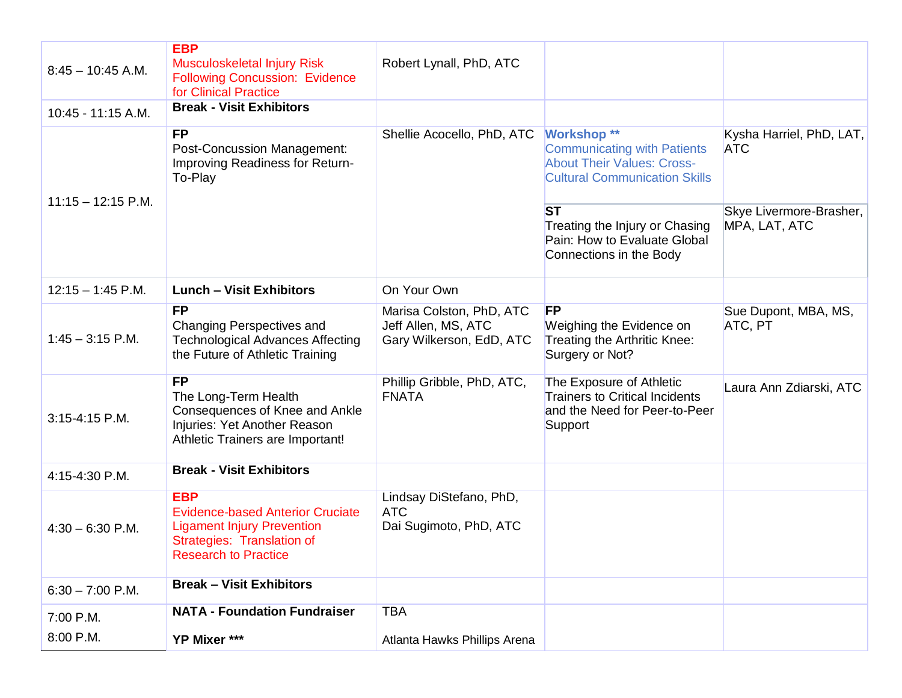| $8:45 - 10:45$ A.M.  | <b>EBP</b><br><b>Musculoskeletal Injury Risk</b><br><b>Following Concussion: Evidence</b><br>for Clinical Practice                                      | Robert Lynall, PhD, ATC                                                     |                                                                                                                                       |                                          |
|----------------------|---------------------------------------------------------------------------------------------------------------------------------------------------------|-----------------------------------------------------------------------------|---------------------------------------------------------------------------------------------------------------------------------------|------------------------------------------|
| 10:45 - 11:15 A.M.   | <b>Break - Visit Exhibitors</b>                                                                                                                         |                                                                             |                                                                                                                                       |                                          |
|                      | <b>FP</b><br><b>Post-Concussion Management:</b><br>Improving Readiness for Return-<br>To-Play                                                           | Shellie Acocello, PhD, ATC                                                  | <b>Workshop **</b><br><b>Communicating with Patients</b><br><b>About Their Values: Cross-</b><br><b>Cultural Communication Skills</b> | Kysha Harriel, PhD, LAT,<br><b>ATC</b>   |
| $11:15 - 12:15$ P.M. |                                                                                                                                                         |                                                                             | <b>ST</b><br>Treating the Injury or Chasing<br>Pain: How to Evaluate Global<br>Connections in the Body                                | Skye Livermore-Brasher,<br>MPA, LAT, ATC |
| $12:15 - 1:45$ P.M.  | <b>Lunch - Visit Exhibitors</b>                                                                                                                         | On Your Own                                                                 |                                                                                                                                       |                                          |
| $1:45 - 3:15$ P.M.   | <b>FP</b><br>Changing Perspectives and<br><b>Technological Advances Affecting</b><br>the Future of Athletic Training                                    | Marisa Colston, PhD, ATC<br>Jeff Allen, MS, ATC<br>Gary Wilkerson, EdD, ATC | <b>FP</b><br>Weighing the Evidence on<br>Treating the Arthritic Knee:<br>Surgery or Not?                                              | Sue Dupont, MBA, MS,<br>ATC, PT          |
| 3:15-4:15 P.M.       | <b>FP</b><br>The Long-Term Health<br>Consequences of Knee and Ankle<br>Injuries: Yet Another Reason<br>Athletic Trainers are Important!                 | Phillip Gribble, PhD, ATC,<br><b>FNATA</b>                                  | The Exposure of Athletic<br><b>Trainers to Critical Incidents</b><br>and the Need for Peer-to-Peer<br>Support                         | Laura Ann Zdiarski, ATC                  |
| 4:15-4:30 P.M.       | <b>Break - Visit Exhibitors</b>                                                                                                                         |                                                                             |                                                                                                                                       |                                          |
| $4:30 - 6:30$ P.M.   | <b>EBP</b><br><b>Evidence-based Anterior Cruciate</b><br><b>Ligament Injury Prevention</b><br>Strategies: Translation of<br><b>Research to Practice</b> | Lindsay DiStefano, PhD,<br><b>ATC</b><br>Dai Sugimoto, PhD, ATC             |                                                                                                                                       |                                          |
| $6:30 - 7:00$ P.M.   | <b>Break - Visit Exhibitors</b>                                                                                                                         |                                                                             |                                                                                                                                       |                                          |
| 7:00 P.M.            | <b>NATA - Foundation Fundraiser</b>                                                                                                                     | <b>TBA</b>                                                                  |                                                                                                                                       |                                          |
| 8:00 P.M.            | YP Mixer ***                                                                                                                                            | Atlanta Hawks Phillips Arena                                                |                                                                                                                                       |                                          |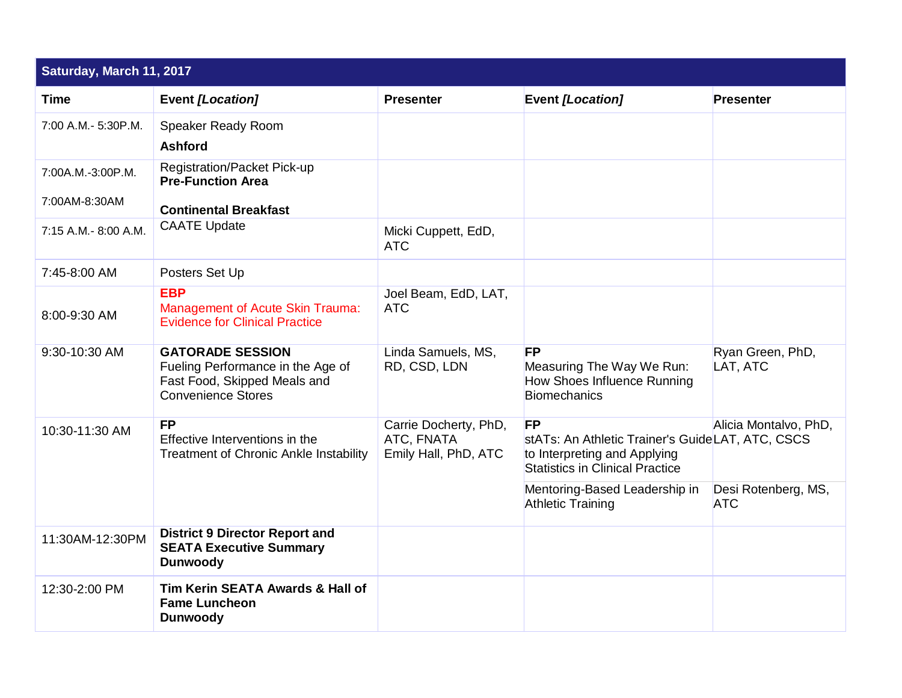| Saturday, March 11, 2017           |                                                                                                                           |                                                             |                                                                                                                                         |                                   |
|------------------------------------|---------------------------------------------------------------------------------------------------------------------------|-------------------------------------------------------------|-----------------------------------------------------------------------------------------------------------------------------------------|-----------------------------------|
| <b>Time</b>                        | <b>Event [Location]</b>                                                                                                   | <b>Presenter</b>                                            | <b>Event [Location]</b>                                                                                                                 | <b>Presenter</b>                  |
| 7:00 A.M.- 5:30P.M.                | Speaker Ready Room<br><b>Ashford</b>                                                                                      |                                                             |                                                                                                                                         |                                   |
| 7:00A.M.-3:00P.M.<br>7:00AM-8:30AM | <b>Registration/Packet Pick-up</b><br><b>Pre-Function Area</b>                                                            |                                                             |                                                                                                                                         |                                   |
|                                    | <b>Continental Breakfast</b>                                                                                              |                                                             |                                                                                                                                         |                                   |
| 7:15 A.M.- 8:00 A.M.               | <b>CAATE Update</b>                                                                                                       | Micki Cuppett, EdD,<br><b>ATC</b>                           |                                                                                                                                         |                                   |
| 7:45-8:00 AM                       | Posters Set Up                                                                                                            |                                                             |                                                                                                                                         |                                   |
| 8:00-9:30 AM                       | <b>EBP</b><br><b>Management of Acute Skin Trauma:</b><br><b>Evidence for Clinical Practice</b>                            | Joel Beam, EdD, LAT,<br><b>ATC</b>                          |                                                                                                                                         |                                   |
| 9:30-10:30 AM                      | <b>GATORADE SESSION</b><br>Fueling Performance in the Age of<br>Fast Food, Skipped Meals and<br><b>Convenience Stores</b> | Linda Samuels, MS,<br>RD, CSD, LDN                          | <b>FP</b><br>Measuring The Way We Run:<br>How Shoes Influence Running<br><b>Biomechanics</b>                                            | Ryan Green, PhD,<br>LAT, ATC      |
| 10:30-11:30 AM                     | <b>FP</b><br>Effective Interventions in the<br><b>Treatment of Chronic Ankle Instability</b>                              | Carrie Docherty, PhD,<br>ATC, FNATA<br>Emily Hall, PhD, ATC | <b>FP</b><br>stATs: An Athletic Trainer's GuideLAT, ATC, CSCS<br>to Interpreting and Applying<br><b>Statistics in Clinical Practice</b> | Alicia Montalvo, PhD,             |
|                                    |                                                                                                                           |                                                             | Mentoring-Based Leadership in<br><b>Athletic Training</b>                                                                               | Desi Rotenberg, MS,<br><b>ATC</b> |
| 11:30AM-12:30PM                    | <b>District 9 Director Report and</b><br><b>SEATA Executive Summary</b><br><b>Dunwoody</b>                                |                                                             |                                                                                                                                         |                                   |
| 12:30-2:00 PM                      | Tim Kerin SEATA Awards & Hall of<br><b>Fame Luncheon</b><br><b>Dunwoody</b>                                               |                                                             |                                                                                                                                         |                                   |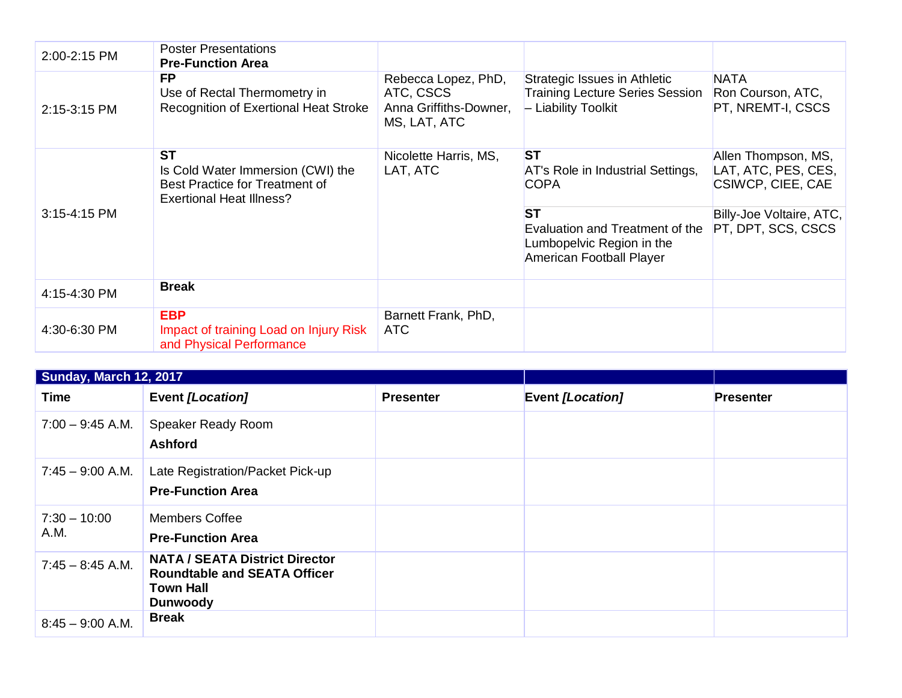| 2:00-2:15 PM | <b>Poster Presentations</b><br><b>Pre-Function Area</b>                                                             |                                                                            |                                                                                                       |                                                                        |
|--------------|---------------------------------------------------------------------------------------------------------------------|----------------------------------------------------------------------------|-------------------------------------------------------------------------------------------------------|------------------------------------------------------------------------|
| 2:15-3:15 PM | FP.<br>Use of Rectal Thermometry in<br>Recognition of Exertional Heat Stroke                                        | Rebecca Lopez, PhD,<br>ATC, CSCS<br>Anna Griffiths-Downer,<br>MS, LAT, ATC | Strategic Issues in Athletic<br><b>Training Lecture Series Session</b><br>- Liability Toolkit         | <b>NATA</b><br>Ron Courson, ATC,<br>PT, NREMT-I, CSCS                  |
|              | <b>ST</b><br>Is Cold Water Immersion (CWI) the<br>Best Practice for Treatment of<br><b>Exertional Heat Illness?</b> | Nicolette Harris, MS,<br>LAT, ATC                                          | <b>ST</b><br>AT's Role in Industrial Settings,<br><b>COPA</b>                                         | Allen Thompson, MS,<br>LAT, ATC, PES, CES,<br><b>CSIWCP, CIEE, CAE</b> |
| 3:15-4:15 PM |                                                                                                                     |                                                                            | <b>ST</b><br>Evaluation and Treatment of the<br>Lumbopelvic Region in the<br>American Football Player | Billy-Joe Voltaire, ATC,<br>PT, DPT, SCS, CSCS                         |
| 4:15-4:30 PM | <b>Break</b>                                                                                                        |                                                                            |                                                                                                       |                                                                        |
| 4:30-6:30 PM | <b>EBP</b><br>Impact of training Load on Injury Risk<br>and Physical Performance                                    | Barnett Frank, PhD,<br><b>ATC</b>                                          |                                                                                                       |                                                                        |

| <b>Sunday, March 12, 2017</b> |                                                                                                                     |                  |                         |                  |
|-------------------------------|---------------------------------------------------------------------------------------------------------------------|------------------|-------------------------|------------------|
| <b>Time</b>                   | <b>Event [Location]</b>                                                                                             | <b>Presenter</b> | <b>Event [Location]</b> | <b>Presenter</b> |
| $7:00 - 9:45$ A.M.            | Speaker Ready Room<br><b>Ashford</b>                                                                                |                  |                         |                  |
| $7:45 - 9:00$ A.M.            | Late Registration/Packet Pick-up<br><b>Pre-Function Area</b>                                                        |                  |                         |                  |
| $7:30 - 10:00$<br>A.M.        | <b>Members Coffee</b><br><b>Pre-Function Area</b>                                                                   |                  |                         |                  |
| $7:45 - 8:45$ A.M.            | <b>NATA / SEATA District Director</b><br><b>Roundtable and SEATA Officer</b><br><b>Town Hall</b><br><b>Dunwoody</b> |                  |                         |                  |
| $8:45 - 9:00$ A.M.            | <b>Break</b>                                                                                                        |                  |                         |                  |